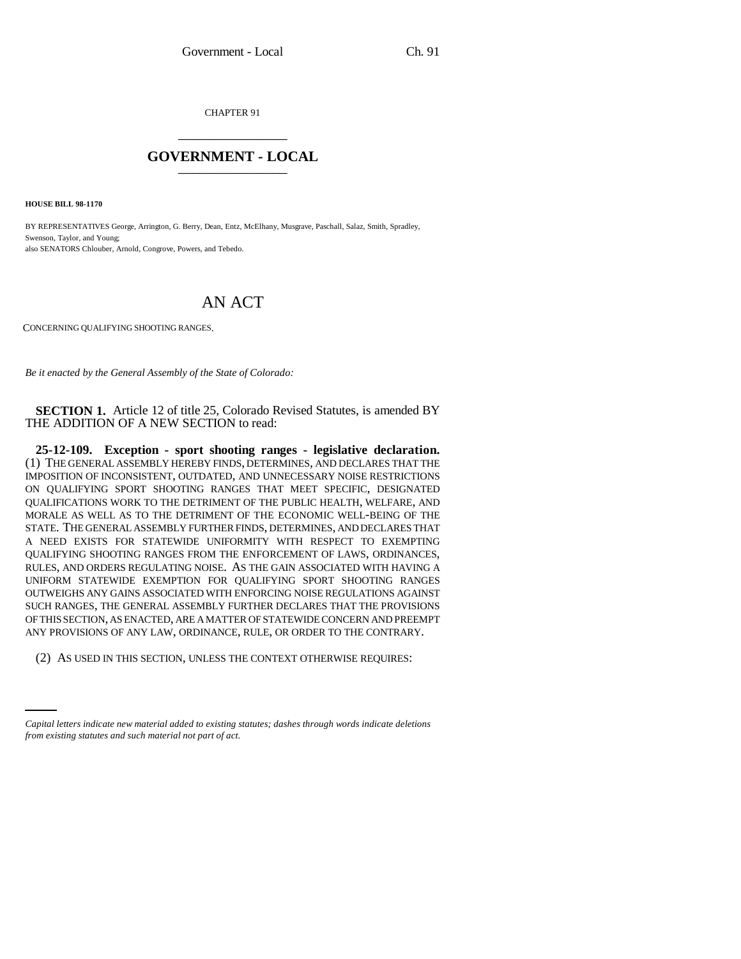CHAPTER 91 \_\_\_\_\_\_\_\_\_\_\_\_\_\_\_

## **GOVERNMENT - LOCAL** \_\_\_\_\_\_\_\_\_\_\_\_\_\_\_

**HOUSE BILL 98-1170**

BY REPRESENTATIVES George, Arrington, G. Berry, Dean, Entz, McElhany, Musgrave, Paschall, Salaz, Smith, Spradley, Swenson, Taylor, and Young; also SENATORS Chlouber, Arnold, Congrove, Powers, and Tebedo.

## AN ACT

CONCERNING QUALIFYING SHOOTING RANGES.

*Be it enacted by the General Assembly of the State of Colorado:*

**SECTION 1.** Article 12 of title 25, Colorado Revised Statutes, is amended BY THE ADDITION OF A NEW SECTION to read:

**25-12-109. Exception - sport shooting ranges - legislative declaration.** (1) THE GENERAL ASSEMBLY HEREBY FINDS, DETERMINES, AND DECLARES THAT THE IMPOSITION OF INCONSISTENT, OUTDATED, AND UNNECESSARY NOISE RESTRICTIONS ON QUALIFYING SPORT SHOOTING RANGES THAT MEET SPECIFIC, DESIGNATED QUALIFICATIONS WORK TO THE DETRIMENT OF THE PUBLIC HEALTH, WELFARE, AND MORALE AS WELL AS TO THE DETRIMENT OF THE ECONOMIC WELL-BEING OF THE STATE. THE GENERAL ASSEMBLY FURTHER FINDS, DETERMINES, AND DECLARES THAT A NEED EXISTS FOR STATEWIDE UNIFORMITY WITH RESPECT TO EXEMPTING QUALIFYING SHOOTING RANGES FROM THE ENFORCEMENT OF LAWS, ORDINANCES, RULES, AND ORDERS REGULATING NOISE. AS THE GAIN ASSOCIATED WITH HAVING A UNIFORM STATEWIDE EXEMPTION FOR QUALIFYING SPORT SHOOTING RANGES OUTWEIGHS ANY GAINS ASSOCIATED WITH ENFORCING NOISE REGULATIONS AGAINST SUCH RANGES, THE GENERAL ASSEMBLY FURTHER DECLARES THAT THE PROVISIONS OF THIS SECTION, AS ENACTED, ARE A MATTER OF STATEWIDE CONCERN AND PREEMPT ANY PROVISIONS OF ANY LAW, ORDINANCE, RULE, OR ORDER TO THE CONTRARY.

(2) AS USED IN THIS SECTION, UNLESS THE CONTEXT OTHERWISE REQUIRES:

*Capital letters indicate new material added to existing statutes; dashes through words indicate deletions from existing statutes and such material not part of act.*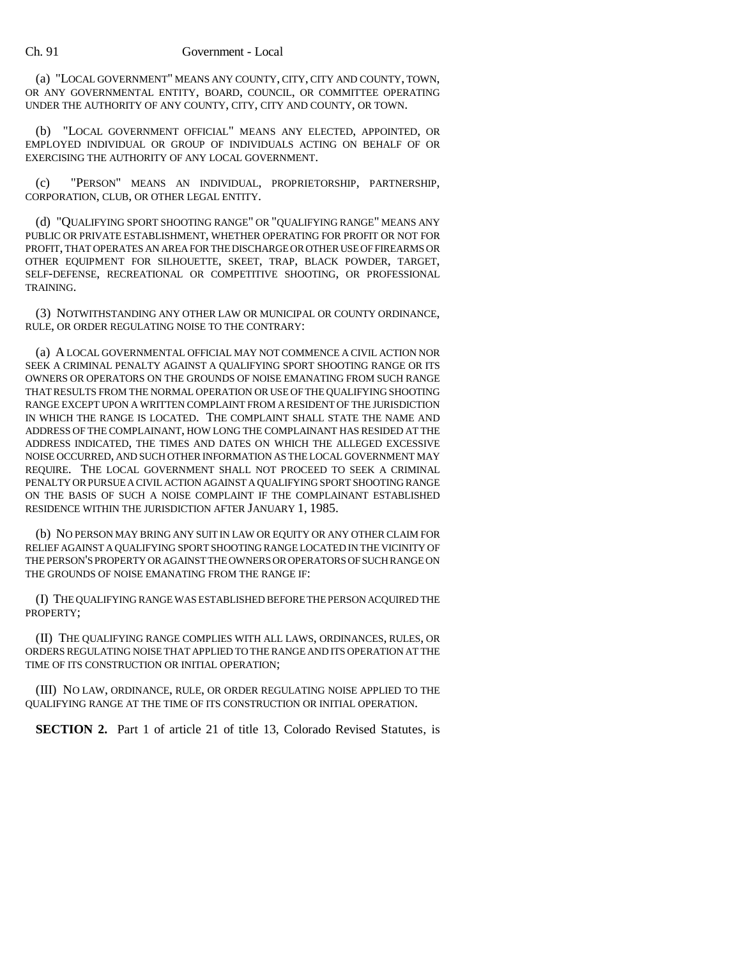## Ch. 91 Government - Local

(a) "LOCAL GOVERNMENT" MEANS ANY COUNTY, CITY, CITY AND COUNTY, TOWN, OR ANY GOVERNMENTAL ENTITY, BOARD, COUNCIL, OR COMMITTEE OPERATING UNDER THE AUTHORITY OF ANY COUNTY, CITY, CITY AND COUNTY, OR TOWN.

(b) "LOCAL GOVERNMENT OFFICIAL" MEANS ANY ELECTED, APPOINTED, OR EMPLOYED INDIVIDUAL OR GROUP OF INDIVIDUALS ACTING ON BEHALF OF OR EXERCISING THE AUTHORITY OF ANY LOCAL GOVERNMENT.

(c) "PERSON" MEANS AN INDIVIDUAL, PROPRIETORSHIP, PARTNERSHIP, CORPORATION, CLUB, OR OTHER LEGAL ENTITY.

(d) "QUALIFYING SPORT SHOOTING RANGE" OR "QUALIFYING RANGE" MEANS ANY PUBLIC OR PRIVATE ESTABLISHMENT, WHETHER OPERATING FOR PROFIT OR NOT FOR PROFIT, THAT OPERATES AN AREA FOR THE DISCHARGE OR OTHER USE OF FIREARMS OR OTHER EQUIPMENT FOR SILHOUETTE, SKEET, TRAP, BLACK POWDER, TARGET, SELF-DEFENSE, RECREATIONAL OR COMPETITIVE SHOOTING, OR PROFESSIONAL TRAINING.

(3) NOTWITHSTANDING ANY OTHER LAW OR MUNICIPAL OR COUNTY ORDINANCE, RULE, OR ORDER REGULATING NOISE TO THE CONTRARY:

(a) A LOCAL GOVERNMENTAL OFFICIAL MAY NOT COMMENCE A CIVIL ACTION NOR SEEK A CRIMINAL PENALTY AGAINST A QUALIFYING SPORT SHOOTING RANGE OR ITS OWNERS OR OPERATORS ON THE GROUNDS OF NOISE EMANATING FROM SUCH RANGE THAT RESULTS FROM THE NORMAL OPERATION OR USE OF THE QUALIFYING SHOOTING RANGE EXCEPT UPON A WRITTEN COMPLAINT FROM A RESIDENT OF THE JURISDICTION IN WHICH THE RANGE IS LOCATED. THE COMPLAINT SHALL STATE THE NAME AND ADDRESS OF THE COMPLAINANT, HOW LONG THE COMPLAINANT HAS RESIDED AT THE ADDRESS INDICATED, THE TIMES AND DATES ON WHICH THE ALLEGED EXCESSIVE NOISE OCCURRED, AND SUCH OTHER INFORMATION AS THE LOCAL GOVERNMENT MAY REQUIRE. THE LOCAL GOVERNMENT SHALL NOT PROCEED TO SEEK A CRIMINAL PENALTY OR PURSUE A CIVIL ACTION AGAINST A QUALIFYING SPORT SHOOTING RANGE ON THE BASIS OF SUCH A NOISE COMPLAINT IF THE COMPLAINANT ESTABLISHED RESIDENCE WITHIN THE JURISDICTION AFTER JANUARY 1, 1985.

(b) NO PERSON MAY BRING ANY SUIT IN LAW OR EQUITY OR ANY OTHER CLAIM FOR RELIEF AGAINST A QUALIFYING SPORT SHOOTING RANGE LOCATED IN THE VICINITY OF THE PERSON'S PROPERTY OR AGAINST THE OWNERS OR OPERATORS OF SUCH RANGE ON THE GROUNDS OF NOISE EMANATING FROM THE RANGE IF:

(I) THE QUALIFYING RANGE WAS ESTABLISHED BEFORE THE PERSON ACQUIRED THE PROPERTY;

(II) THE QUALIFYING RANGE COMPLIES WITH ALL LAWS, ORDINANCES, RULES, OR ORDERS REGULATING NOISE THAT APPLIED TO THE RANGE AND ITS OPERATION AT THE TIME OF ITS CONSTRUCTION OR INITIAL OPERATION;

(III) NO LAW, ORDINANCE, RULE, OR ORDER REGULATING NOISE APPLIED TO THE QUALIFYING RANGE AT THE TIME OF ITS CONSTRUCTION OR INITIAL OPERATION.

**SECTION 2.** Part 1 of article 21 of title 13, Colorado Revised Statutes, is